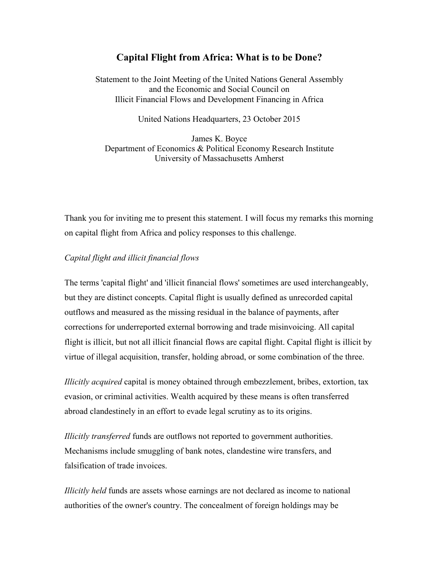# **Capital Flight from Africa: What is to be Done?**

Statement to the Joint Meeting of the United Nations General Assembly and the Economic and Social Council on Illicit Financial Flows and Development Financing in Africa

United Nations Headquarters, 23 October 2015

James K. Boyce Department of Economics & Political Economy Research Institute University of Massachusetts Amherst

Thank you for inviting me to present this statement. I will focus my remarks this morning on capital flight from Africa and policy responses to this challenge.

# *Capital flight and illicit financial flows*

The terms 'capital flight' and 'illicit financial flows' sometimes are used interchangeably, but they are distinct concepts. Capital flight is usually defined as unrecorded capital outflows and measured as the missing residual in the balance of payments, after corrections for underreported external borrowing and trade misinvoicing. All capital flight is illicit, but not all illicit financial flows are capital flight. Capital flight is illicit by virtue of illegal acquisition, transfer, holding abroad, or some combination of the three.

*Illicitly acquired* capital is money obtained through embezzlement, bribes, extortion, tax evasion, or criminal activities. Wealth acquired by these means is often transferred abroad clandestinely in an effort to evade legal scrutiny as to its origins.

*Illicitly transferred* funds are outflows not reported to government authorities. Mechanisms include smuggling of bank notes, clandestine wire transfers, and falsification of trade invoices.

*Illicitly held* funds are assets whose earnings are not declared as income to national authorities of the owner's country. The concealment of foreign holdings may be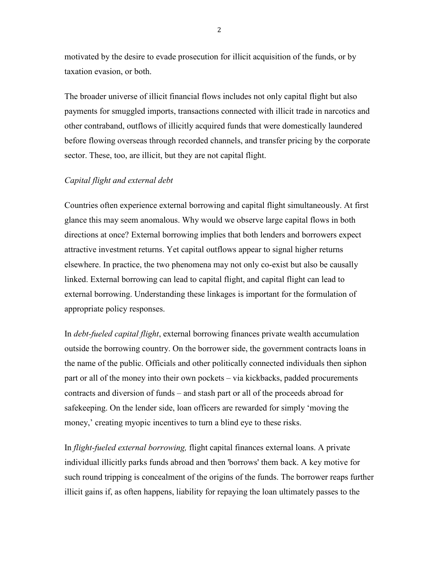motivated by the desire to evade prosecution for illicit acquisition of the funds, or by taxation evasion, or both.

The broader universe of illicit financial flows includes not only capital flight but also payments for smuggled imports, transactions connected with illicit trade in narcotics and other contraband, outflows of illicitly acquired funds that were domestically laundered before flowing overseas through recorded channels, and transfer pricing by the corporate sector. These, too, are illicit, but they are not capital flight.

## *Capital flight and external debt*

Countries often experience external borrowing and capital flight simultaneously. At first glance this may seem anomalous. Why would we observe large capital flows in both directions at once? External borrowing implies that both lenders and borrowers expect attractive investment returns. Yet capital outflows appear to signal higher returns elsewhere. In practice, the two phenomena may not only co-exist but also be causally linked. External borrowing can lead to capital flight, and capital flight can lead to external borrowing. Understanding these linkages is important for the formulation of appropriate policy responses.

In *debt-fueled capital flight*, external borrowing finances private wealth accumulation outside the borrowing country. On the borrower side, the government contracts loans in the name of the public. Officials and other politically connected individuals then siphon part or all of the money into their own pockets – via kickbacks, padded procurements contracts and diversion of funds – and stash part or all of the proceeds abroad for safekeeping. On the lender side, loan officers are rewarded for simply 'moving the money,' creating myopic incentives to turn a blind eye to these risks.

In *flight-fueled external borrowing,* flight capital finances external loans. A private individual illicitly parks funds abroad and then 'borrows' them back. A key motive for such round tripping is concealment of the origins of the funds. The borrower reaps further illicit gains if, as often happens, liability for repaying the loan ultimately passes to the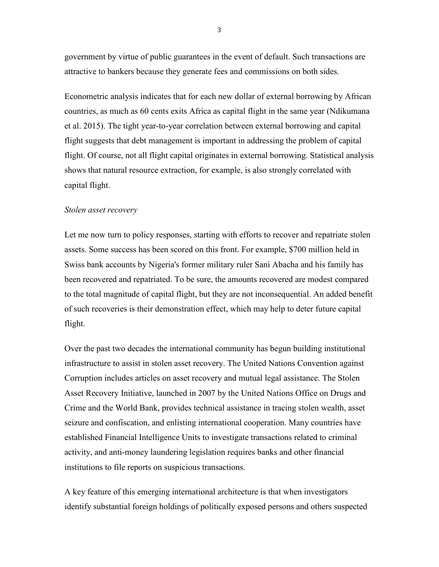government by virtue of public guarantees in the event of default. Such transactions are attractive to bankers because they generate fees and commissions on both sides.

Econometric analysis indicates that for each new dollar of external borrowing by African countries, as much as 60 cents exits Africa as capital flight in the same year (Ndikumana et al. 2015). The tight year-to-year correlation between external borrowing and capital flight suggests that debt management is important in addressing the problem of capital flight. Of course, not all flight capital originates in external borrowing. Statistical analysis shows that natural resource extraction, for example, is also strongly correlated with capital flight.

#### *Stolen asset recovery*

Let me now turn to policy responses, starting with efforts to recover and repatriate stolen assets. Some success has been scored on this front. For example, \$700 million held in Swiss bank accounts by Nigeria's former military ruler Sani Abacha and his family has been recovered and repatriated. To be sure, the amounts recovered are modest compared to the total magnitude of capital flight, but they are not inconsequential. An added benefit of such recoveries is their demonstration effect, which may help to deter future capital flight.

Over the past two decades the international community has begun building institutional infrastructure to assist in stolen asset recovery. The United Nations Convention against Corruption includes articles on asset recovery and mutual legal assistance. The Stolen Asset Recovery Initiative, launched in 2007 by the United Nations Office on Drugs and Crime and the World Bank, provides technical assistance in tracing stolen wealth, asset seizure and confiscation, and enlisting international cooperation. Many countries have established Financial Intelligence Units to investigate transactions related to criminal activity, and anti-money laundering legislation requires banks and other financial institutions to file reports on suspicious transactions.

A key feature of this emerging international architecture is that when investigators identify substantial foreign holdings of politically exposed persons and others suspected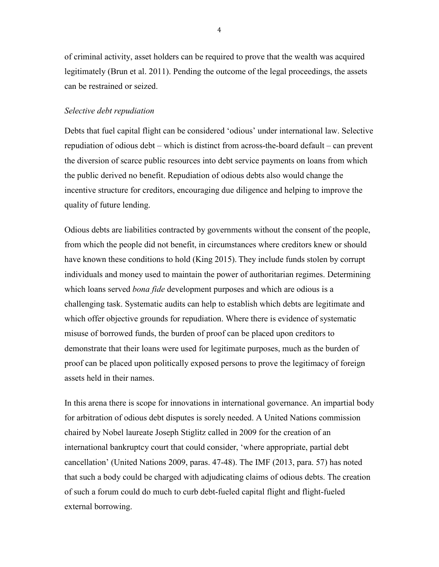of criminal activity, asset holders can be required to prove that the wealth was acquired legitimately (Brun et al. 2011). Pending the outcome of the legal proceedings, the assets can be restrained or seized.

#### *Selective debt repudiation*

Debts that fuel capital flight can be considered 'odious' under international law. Selective repudiation of odious debt – which is distinct from across-the-board default – can prevent the diversion of scarce public resources into debt service payments on loans from which the public derived no benefit. Repudiation of odious debts also would change the incentive structure for creditors, encouraging due diligence and helping to improve the quality of future lending.

Odious debts are liabilities contracted by governments without the consent of the people, from which the people did not benefit, in circumstances where creditors knew or should have known these conditions to hold (King 2015). They include funds stolen by corrupt individuals and money used to maintain the power of authoritarian regimes. Determining which loans served *bona fide* development purposes and which are odious is a challenging task. Systematic audits can help to establish which debts are legitimate and which offer objective grounds for repudiation. Where there is evidence of systematic misuse of borrowed funds, the burden of proof can be placed upon creditors to demonstrate that their loans were used for legitimate purposes, much as the burden of proof can be placed upon politically exposed persons to prove the legitimacy of foreign assets held in their names.

In this arena there is scope for innovations in international governance. An impartial body for arbitration of odious debt disputes is sorely needed. A United Nations commission chaired by Nobel laureate Joseph Stiglitz called in 2009 for the creation of an international bankruptcy court that could consider, 'where appropriate, partial debt cancellation' (United Nations 2009, paras. 47-48). The IMF (2013, para. 57) has noted that such a body could be charged with adjudicating claims of odious debts. The creation of such a forum could do much to curb debt-fueled capital flight and flight-fueled external borrowing.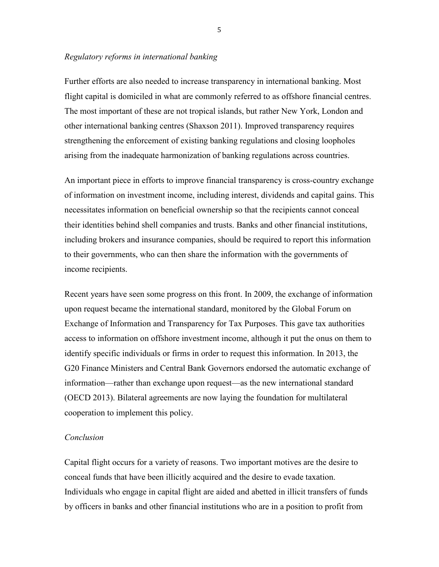# *Regulatory reforms in international banking*

Further efforts are also needed to increase transparency in international banking. Most flight capital is domiciled in what are commonly referred to as offshore financial centres. The most important of these are not tropical islands, but rather New York, London and other international banking centres (Shaxson 2011). Improved transparency requires strengthening the enforcement of existing banking regulations and closing loopholes arising from the inadequate harmonization of banking regulations across countries.

An important piece in efforts to improve financial transparency is cross-country exchange of information on investment income, including interest, dividends and capital gains. This necessitates information on beneficial ownership so that the recipients cannot conceal their identities behind shell companies and trusts. Banks and other financial institutions, including brokers and insurance companies, should be required to report this information to their governments, who can then share the information with the governments of income recipients.

Recent years have seen some progress on this front. In 2009, the exchange of information upon request became the international standard, monitored by the Global Forum on Exchange of Information and Transparency for Tax Purposes. This gave tax authorities access to information on offshore investment income, although it put the onus on them to identify specific individuals or firms in order to request this information. In 2013, the G20 Finance Ministers and Central Bank Governors endorsed the automatic exchange of information—rather than exchange upon request—as the new international standard (OECD 2013). Bilateral agreements are now laying the foundation for multilateral cooperation to implement this policy.

### *Conclusion*

Capital flight occurs for a variety of reasons. Two important motives are the desire to conceal funds that have been illicitly acquired and the desire to evade taxation. Individuals who engage in capital flight are aided and abetted in illicit transfers of funds by officers in banks and other financial institutions who are in a position to profit from